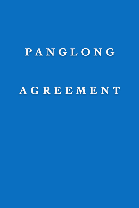# PANGLONG AGREEMENT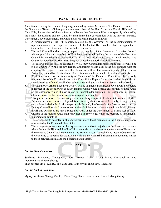# **PANGLONG AGREEMENT1**

A conference having been held at Panglong, attended by certain Members of the Executive Council of the Governor of Burma, all Saohpas and representatives of the Shan States, the Kachin Hills and the Chin Hills, the members of the conference, believing that freedom will be more speedily achieved by the Shans, the Kachins and the Chins by their immediate co-operation with the Interim Burmese Government, have accordingly, and without dissentients, agreed as follows:

- 1. A representative of the Hill peoples, selected by the Governor on the recommendation of representatives of the Supreme Council of the United Hill Peoples, shall be appointed a Counsellor to the Governor to deal with the Frontier Areas.
- 2. The said Counsellor shall also be appointed a member of the Governor's Executive Council without portfolio, and the subject of Frontier Areas brought within the purview of the Executive Council by constitutional convention as in the case of Defence and External Affairs. The Counsellor for Frontier Areas shall be given executive authority by similar means.
- 3. The said Counsellor shall be assisted by two Deputy Counsellors representing races of which he is not a member. While the two Deputy Counsellors should deal in the first instance with the affairs of the respective areas and the Counsellor with all the remaining parts of the Frontier Areas, they should by Constitutional Convention act on the principle of joint responsibility.
- 4. While the Counsellor in his capacity of Member of the Executive Council will be the only representative of the Frontier Areas on the Council, the Deputy Counsellor(s) shall be entitled to attend meetings of the Council when subjects pertaining to the Frontier Areas are discussed.
- 5. Though the Governor's Executive Council will be augmented as agreed above, it will not operate in respect of the Frontier Areas in any manner which would deprive any portion of these Areas of the autonomy which it now enjoys in internal administration. Full autonomy in internal administration for the Frontier Areas is accepted in principle.
- Though the question of demarcating and establishing a separate Kachin State within a Unified Burma is one which must be relegated for decision by the Constituent Assembly, it is agreed that such a State is desirable. As first step towards this end, the Counsellor for Frontier Areas and the Deputy Counsellors shall be consulted in the administration of such areas in the Myitkyina and the Bhamo District as are Part 2 Scheduled Areas under the Government of Burma Act of 1935.
- 7. Citizens of the Frontier Areas shall enjoy rights and privileges which are regarded as fundamental in democratic countries.
- 8. The arrangements accepted in this Agreement are without prejudice to the financial autonomy now vested in the Federated Shan States.
- 9. The arrangements accepted in this Agreement are without prejudice to the financial assistance which the Kachin Hills and the Chin Hills are entitled to receive from the revenues of Burma and the Executive Council will examine with the Frontier Areas Counsellor and Deputy Counsellor(s) the feasibility of adopting for the Kachin Hills and the Chin Hills financial arrangements similar to those between Burma and the Federated Shan States.

### **SIGNATORIES**

### *For the Shan Committee:*

Sawbwas: Tawnpeng, Yawnghwei, North Hsenwi, Laika, Mong Pawn, Hsamonghkam and representative of Pawnglawng.

Shan people: Tin E, Kya Bu, Sao Yapa Hpa, Htun Myint, Hkun Saw, Hkun Htee

### *For the Kachin Committee:*

 $\overline{a}$ 

Myitkyina: Sinwa Nawng, Zau Rip, Dinra Tang Bhamo: Zau La, Zau Lawn, Labang Grong

<sup>&</sup>lt;sup>1</sup> Hugh Tinker, Burma: The Struggle for Independence (1944-1948) (Vol. II) 404-405 (1984).